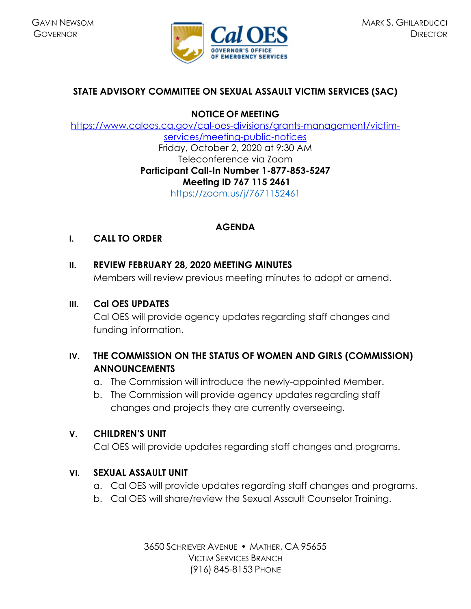

# **STATE ADVISORY COMMITTEE ON SEXUAL ASSAULT VICTIM SERVICES (SAC)**

**NOTICE OF MEETING** 

[https://www.caloes.ca.gov/cal-oes-divisions/grants-management/victim](https://www.caloes.ca.gov/cal-oes-divisions/grants-management/victim-services/meeting-public-notices)[services/meeting-public-notices](https://www.caloes.ca.gov/cal-oes-divisions/grants-management/victim-services/meeting-public-notices) Friday, October 2, 2020 at 9:30 AM Teleconference via Zoom **Participant Call-In Number 1-877-853-5247 Meeting ID 767 115 2461**  <https://zoom.us/j/7671152461>

# **AGENDA**

## **I. CALL TO ORDER**

## **II. REVIEW FEBRUARY 28, 2020 MEETING MINUTES**

Members will review previous meeting minutes to adopt or amend.

## **III. Cal OES UPDATES**

Cal OES will provide agency updates regarding staff changes and funding information.

# **IV. THE COMMISSION ON THE STATUS OF WOMEN AND GIRLS (COMMISSION) ANNOUNCEMENTS**

- a. The Commission will introduce the newly-appointed Member.
- b. The Commission will provide agency updates regarding staff changes and projects they are currently overseeing.

# **V. CHILDREN'S UNIT**

Cal OES will provide updates regarding staff changes and programs.

# **VI. SEXUAL ASSAULT UNIT**

- a. Cal OES will provide updates regarding staff changes and programs.
- b. Cal OES will share/review the Sexual Assault Counselor Training.

3650 SCHRIEVER AVENUE MATHER, CA 95655 VICTIM SERVICES BRANCH (916) 845-8153 PHONE